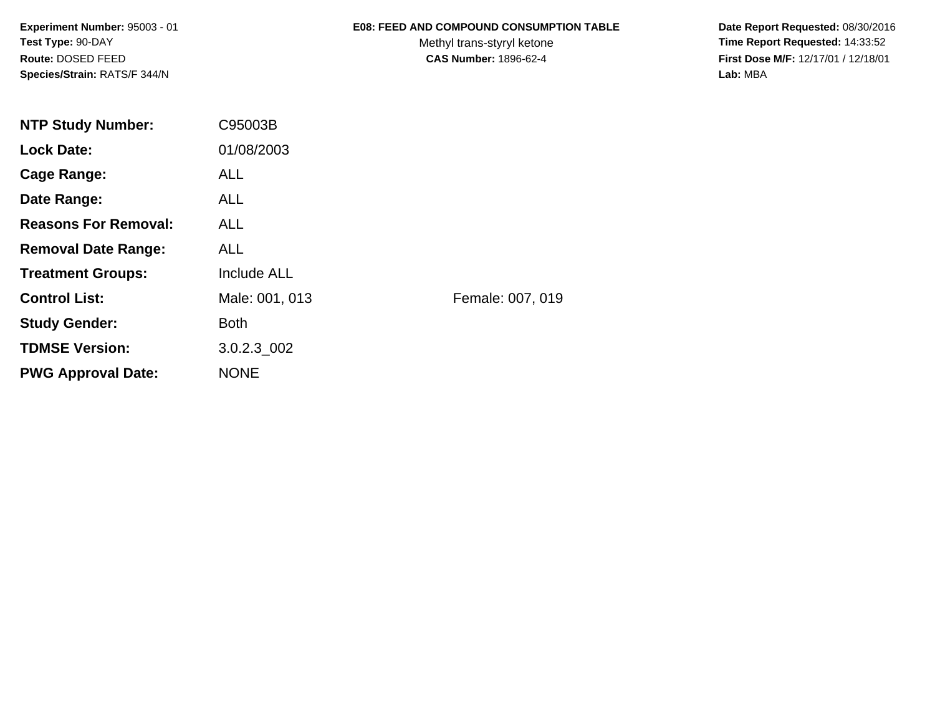### **E08: FEED AND COMPOUND CONSUMPTION TABLE**

Methyl trans-styryl ketone<br>CAS Number: 1896-62-4

 **Date Report Requested:** 08/30/2016 **Time Report Requested:** 14:33:52 **First Dose M/F:** 12/17/01 / 12/18/01<br>Lab: MBA **Lab:** MBA

| <b>NTP Study Number:</b>    | C95003B            |                  |
|-----------------------------|--------------------|------------------|
| <b>Lock Date:</b>           | 01/08/2003         |                  |
| Cage Range:                 | <b>ALL</b>         |                  |
| Date Range:                 | <b>ALL</b>         |                  |
| <b>Reasons For Removal:</b> | <b>ALL</b>         |                  |
| <b>Removal Date Range:</b>  | <b>ALL</b>         |                  |
| <b>Treatment Groups:</b>    | <b>Include ALL</b> |                  |
| <b>Control List:</b>        | Male: 001, 013     | Female: 007, 019 |
| <b>Study Gender:</b>        | <b>Both</b>        |                  |
| <b>TDMSE Version:</b>       | $3.0.2.3\_002$     |                  |
| <b>PWG Approval Date:</b>   | <b>NONE</b>        |                  |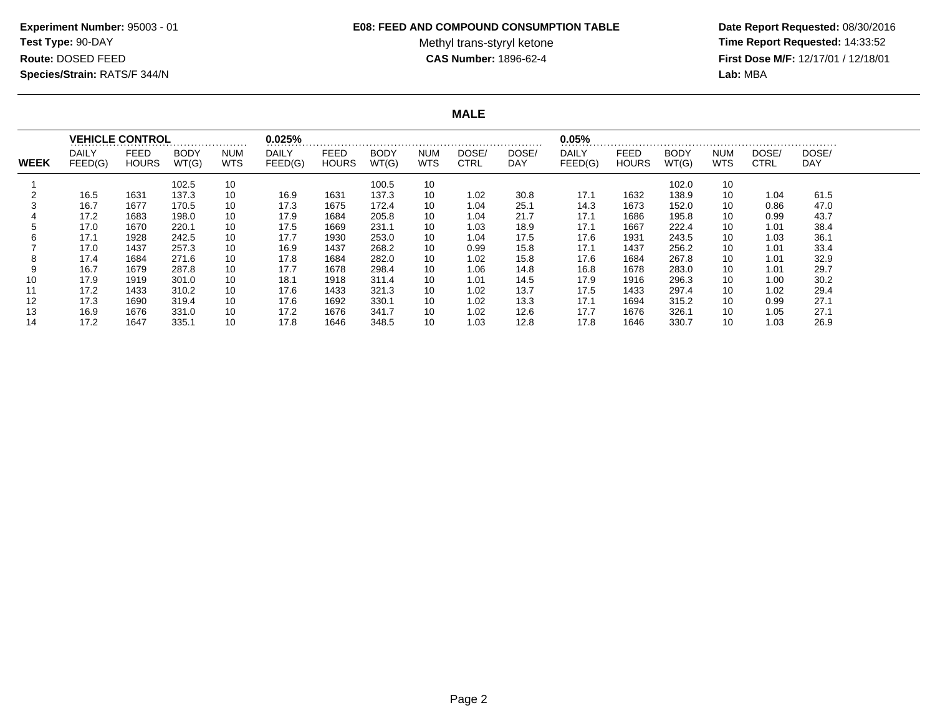#### **E08: FEED AND COMPOUND CONSUMPTION TABLE**

Methyl trans-styryl ketone<br>CAS Number: 1896-62-4

 **Date Report Requested:** 08/30/2016 **Time Report Requested:** 14:33:52 **First Dose M/F:** 12/17/01 / 12/18/01<br>**Lab:** MBA **Lab:** MBA

**MALE**

|             |                         | <b>VEHICLE CONTROL</b> |                      |                          | 0.025%                  |                      |                      |                          |                      |              | 0.05%                   |                      |               |                    |                      |              |
|-------------|-------------------------|------------------------|----------------------|--------------------------|-------------------------|----------------------|----------------------|--------------------------|----------------------|--------------|-------------------------|----------------------|---------------|--------------------|----------------------|--------------|
| <b>WEEK</b> | <b>DAILY</b><br>FEED(G) | FEED<br><b>HOURS</b>   | <b>BODY</b><br>WT(G) | <b>NUM</b><br><b>WTS</b> | <b>DAILY</b><br>FEED(G) | FEED<br><b>HOURS</b> | <b>BODY</b><br>WT(G) | <b>NUM</b><br><b>WTS</b> | DOSE/<br><b>CTRL</b> | DOSE/<br>DAY | <b>DAILY</b><br>FEED(G) | FEED<br><b>HOURS</b> | BODY<br>WT(G) | <b>NUM</b><br>WTS. | DOSE/<br><b>CTRL</b> | DOSE/<br>DAY |
|             |                         |                        | 102.5                | 10                       |                         |                      | 100.5                | 10                       |                      |              |                         |                      | 102.0         | 10                 |                      |              |
|             | 16.5                    | 1631                   | 137.3                | 10                       | 16.9                    | 1631                 | 137.3                | 10                       | 1.02                 | 30.8         | 17.1                    | 1632                 | 138.9         | 10                 | 1.04                 | 61.5         |
|             | 16.7                    | 1677                   | 170.5                | 10                       | 17.3                    | 1675                 | 172.4                | 10                       | 1.04                 | 25.1         | 14.3                    | 1673                 | 152.0         | 10                 | 0.86                 | 47.0         |
|             | 17.2                    | 1683                   | 198.0                | 10                       | 17.9                    | 1684                 | 205.8                | 10                       | 1.04                 | 21.7         | 17.1                    | 1686                 | 195.8         | 10                 | 0.99                 | 43.7         |
|             | 17.0                    | 1670                   | 220.1                | 10                       | 17.5                    | 1669                 | 231.1                | 10                       | 1.03                 | 18.9         | 17.1                    | 1667                 | 222.4         | 10                 | 1.01                 | 38.4         |
|             | 17.1                    | 1928                   | 242.5                | 10                       | 17.7                    | 1930                 | 253.0                | 10                       | 1.04                 | 17.5         | 17.6                    | 1931                 | 243.5         | 10                 | 1.03                 | 36.1         |
|             | 17.0                    | 1437                   | 257.3                | 10                       | 16.9                    | 1437                 | 268.2                | 10                       | 0.99                 | 15.8         | 17.1                    | 1437                 | 256.2         | 10                 | 1.01                 | 33.4         |
|             | 17.4                    | 1684                   | 271.6                | 10                       | 17.8                    | 1684                 | 282.0                | 10                       | 1.02                 | 15.8         | 17.6                    | 1684                 | 267.8         | 10                 | 1.01                 | 32.9         |
| 9           | 16.7                    | 1679                   | 287.8                | 10                       | 17.7                    | 1678                 | 298.4                | 10                       | 1.06                 | 14.8         | 16.8                    | 1678                 | 283.0         | 10                 | 1.01                 | 29.7         |
| 10          | 17.9                    | 1919                   | 301.0                | 10                       | 18.1                    | 1918                 | 311.4                | 10                       | 1.01                 | 14.5         | 17.9                    | 1916                 | 296.3         | 10                 | 1.00                 | 30.2         |
|             | 17.2                    | 1433                   | 310.2                | 10                       | 17.6                    | 1433                 | 321.3                | 10                       | 1.02                 | 13.7         | 17.5                    | 1433                 | 297.4         | 10                 | 1.02                 | 29.4         |
| 12          | 17.3                    | 1690                   | 319.4                | 10                       | 17.6                    | 1692                 | 330.1                | 10                       | 1.02                 | 13.3         | 17.1                    | 1694                 | 315.2         | 10                 | 0.99                 | 27.1         |
| 13          | 16.9                    | 1676                   | 331.0                | 10                       | 17.2                    | 1676                 | 341.7                | 10                       | 1.02                 | 12.6         | 17.7                    | 1676                 | 326.1         | 10                 | 1.05                 | 27.1         |
| 14          | 17.2                    | 1647                   | 335.1                | 10                       | 17.8                    | 1646                 | 348.5                | 10                       | 1.03                 | 12.8         | 17.8                    | 1646                 | 330.7         | 10                 | 1.03                 | 26.9         |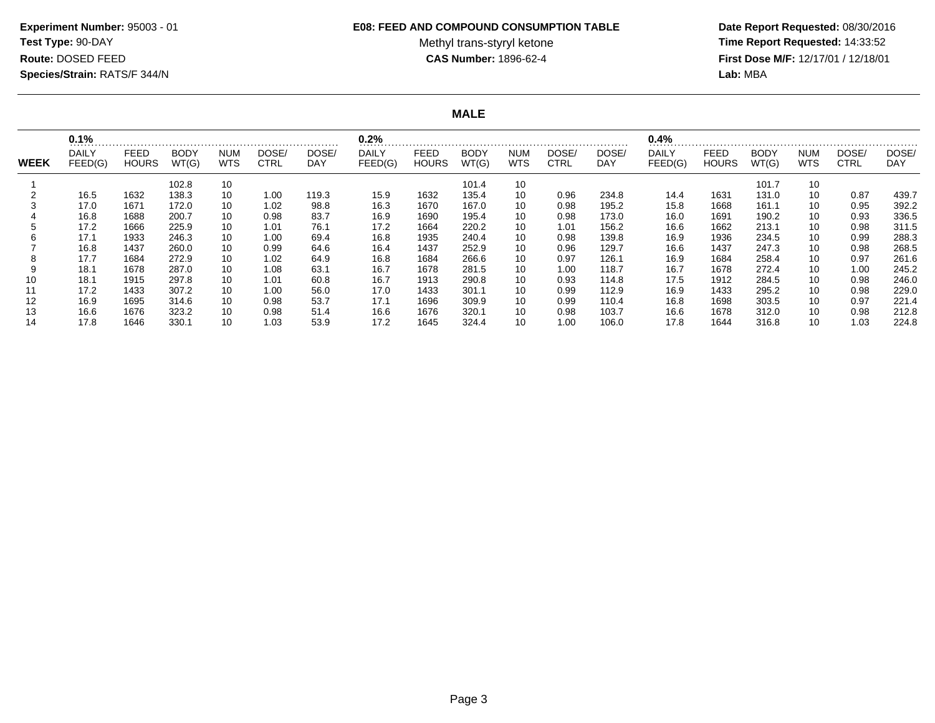#### **E08: FEED AND COMPOUND CONSUMPTION TABLE**

Methyl trans-styryl ketone<br>CAS Number: 1896-62-4

 **Date Report Requested:** 08/30/2016 **Time Report Requested:** 14:33:52 **First Dose M/F:** 12/17/01 / 12/18/01<br>**Lab:** MBA **Lab:** MBA

**MALE**

|             | 0.1%                    |                             |                      |                          |                      |              | 0.2%                    |                             |                      |            |                      |              | 0.4%             |                      |               |                          |               |              |
|-------------|-------------------------|-----------------------------|----------------------|--------------------------|----------------------|--------------|-------------------------|-----------------------------|----------------------|------------|----------------------|--------------|------------------|----------------------|---------------|--------------------------|---------------|--------------|
| <b>WEEK</b> | <b>DAILY</b><br>FEED(G) | <b>FEED</b><br><b>HOURS</b> | <b>BODY</b><br>WT(G) | <b>NUM</b><br><b>WTS</b> | DOSE/<br><b>CTRL</b> | DOSE/<br>DAY | <b>DAILY</b><br>FEED(G) | <b>FEED</b><br><b>HOURS</b> | <b>BODY</b><br>WT(G) | NUM<br>WTS | DOSE/<br><b>CTRL</b> | DOSE/<br>DAY | DAILY<br>FEED(G) | FEED<br><b>HOURS</b> | BODY<br>WT(G) | <b>NUM</b><br><b>WTS</b> | DOSE/<br>CTRL | DOSE/<br>DAY |
|             |                         |                             | 102.8                | 10                       |                      |              |                         |                             | 101.4                | 10         |                      |              |                  |                      | 101.7         | 10                       |               |              |
|             | 16.5                    | 1632                        | 138.3                | 10                       | 1.00                 | 119.3        | 15.9                    | 1632                        | 135.4                | 10         | 0.96                 | 234.8        | 14.4             | 1631                 | 131.0         | 10                       | 0.87          | 439.7        |
|             | 17.0                    | 1671                        | 172.0                | 10                       | 1.02                 | 98.8         | 16.3                    | 1670                        | 167.0                | 10         | 0.98                 | 195.2        | 15.8             | 1668                 | 161.1         | 10                       | 0.95          | 392.2        |
|             | 16.8                    | 1688                        | 200.7                | 10                       | 0.98                 | 83.7         | 16.9                    | 1690                        | 195.4                | 10         | 0.98                 | 173.0        | 16.0             | 1691                 | 190.2         | 10                       | 0.93          | 336.5        |
|             | 17.2                    | 1666                        | 225.9                | 10                       | 1.01                 | 76.1         | 17.2                    | 1664                        | 220.2                | 10         | 1.01                 | 156.2        | 16.6             | 1662                 | 213.1         | 10                       | 0.98          | 311.5        |
|             | 17.1                    | 1933                        | 246.3                | 10                       | 1.00                 | 69.4         | 16.8                    | 1935                        | 240.4                | 10         | 0.98                 | 139.8        | 16.9             | 1936                 | 234.5         | 10                       | 0.99          | 288.3        |
|             | 16.8                    | 1437                        | 260.0                | 10                       | 0.99                 | 64.6         | 16.4                    | 1437                        | 252.9                | 10         | 0.96                 | 129.7        | 16.6             | 1437                 | 247.3         | 10                       | 0.98          | 268.5        |
|             | 17.7                    | 1684                        | 272.9                | 10                       | 1.02                 | 64.9         | 16.8                    | 1684                        | 266.6                | 10         | 0.97                 | 126.1        | 16.9             | 1684                 | 258.4         | 10                       | 0.97          | 261.6        |
|             | 18.1                    | 1678                        | 287.0                | 10                       | 1.08                 | 63.1         | 16.7                    | 1678                        | 281.5                | 10         | 1.00                 | 118.7        | 16.7             | 1678                 | 272.4         | 10                       | 1.00          | 245.2        |
| 10          | 18.1                    | 1915                        | 297.8                | 10                       | 1.01                 | 60.8         | 16.7                    | 1913                        | 290.8                | 10         | 0.93                 | 114.8        | 17.5             | 1912                 | 284.5         | 10                       | 0.98          | 246.0        |
|             | 17.2                    | 1433                        | 307.2                | 10                       | 1.00                 | 56.0         | 17.0                    | 1433                        | 301.1                | 10         | 0.99                 | 112.9        | 16.9             | 1433                 | 295.2         | 10                       | 0.98          | 229.0        |
| 12          | 16.9                    | 1695                        | 314.6                | 10                       | 0.98                 | 53.7         | 17.1                    | 1696                        | 309.9                | 10         | 0.99                 | 110.4        | 16.8             | 1698                 | 303.5         | 10                       | 0.97          | 221.4        |
| 13          | 16.6                    | 1676                        | 323.2                | 10                       | 0.98                 | 51.4         | 16.6                    | 1676                        | 320.1                | 10         | 0.98                 | 103.7        | 16.6             | 1678                 | 312.0         | 10                       | 0.98          | 212.8        |
| 14          | 17.8                    | 1646                        | 330.1                | 10                       | 1.03                 | 53.9         | 17.2                    | 1645                        | 324.4                | 10         | 1.00                 | 106.0        | 17.8             | 1644                 | 316.8         | 10                       | 1.03          | 224.8        |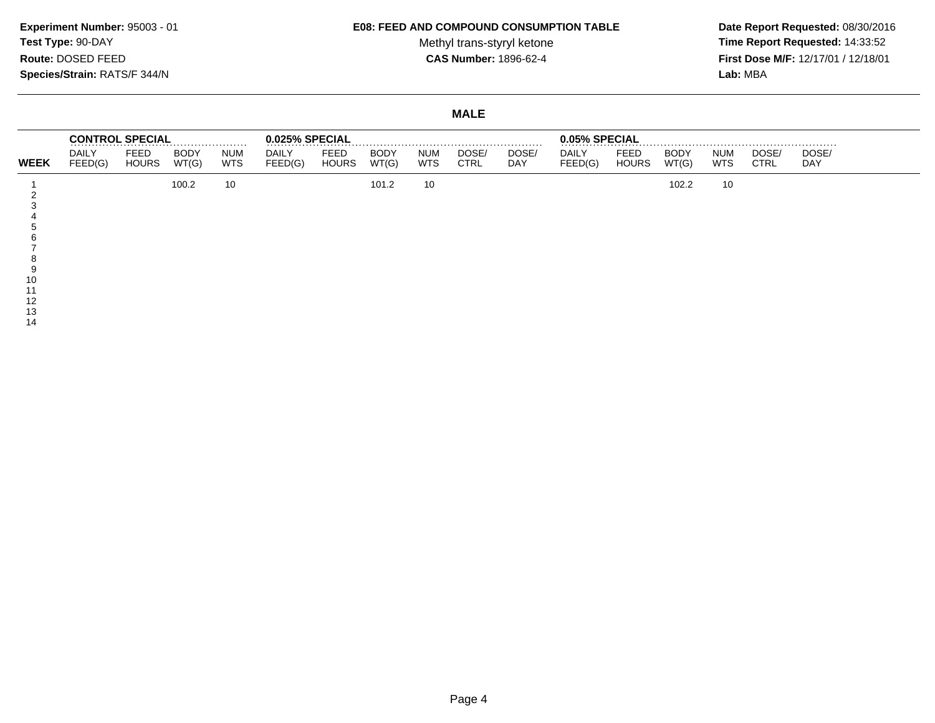#### **E08: FEED AND COMPOUND CONSUMPTION TABLE**

Methyl trans-styryl ketone<br>CAS Number: 1896-62-4

 **Date Report Requested:** 08/30/2016 **Time Report Requested:** 14:33:52 **First Dose M/F:** 12/17/01 / 12/18/01<br>Lab: MBA **Lab:** MBA

### **MALE**

|             |                         | <b>CONTROL SPECIAL</b>      |                      |                          | 0.025% SPECIAL          |                      |                      |                          |                      |              | 0.05% SPECIAL           |                             |                      |                          |                      |                     |
|-------------|-------------------------|-----------------------------|----------------------|--------------------------|-------------------------|----------------------|----------------------|--------------------------|----------------------|--------------|-------------------------|-----------------------------|----------------------|--------------------------|----------------------|---------------------|
| <b>WEEK</b> | <b>DAILY</b><br>FEED(G) | <b>FEED</b><br><b>HOURS</b> | <b>BODY</b><br>WT(G) | <b>NUM</b><br><b>WTS</b> | <b>DAILY</b><br>FEED(G) | FEED<br><b>HOURS</b> | <b>BODY</b><br>WT(G) | <b>NUM</b><br><b>WTS</b> | DOSE/<br><b>CTRL</b> | DOSE/<br>DAY | <b>DAILY</b><br>FEED(G) | <b>FEED</b><br><b>HOURS</b> | <b>BODY</b><br>WT(G) | <b>NUM</b><br><b>WTS</b> | DOSE/<br><b>CTRL</b> | DOSE/<br><b>DAY</b> |
|             |                         |                             | 100.2                | 10                       |                         |                      | 101.2                | 10                       |                      |              |                         |                             | 102.2                | 10                       |                      |                     |
|             |                         |                             |                      |                          |                         |                      |                      |                          |                      |              |                         |                             |                      |                          |                      |                     |
|             |                         |                             |                      |                          |                         |                      |                      |                          |                      |              |                         |                             |                      |                          |                      |                     |
|             |                         |                             |                      |                          |                         |                      |                      |                          |                      |              |                         |                             |                      |                          |                      |                     |
|             |                         |                             |                      |                          |                         |                      |                      |                          |                      |              |                         |                             |                      |                          |                      |                     |
|             |                         |                             |                      |                          |                         |                      |                      |                          |                      |              |                         |                             |                      |                          |                      |                     |
| 10          |                         |                             |                      |                          |                         |                      |                      |                          |                      |              |                         |                             |                      |                          |                      |                     |
|             |                         |                             |                      |                          |                         |                      |                      |                          |                      |              |                         |                             |                      |                          |                      |                     |
| $\sqrt{2}$  |                         |                             |                      |                          |                         |                      |                      |                          |                      |              |                         |                             |                      |                          |                      |                     |

13 14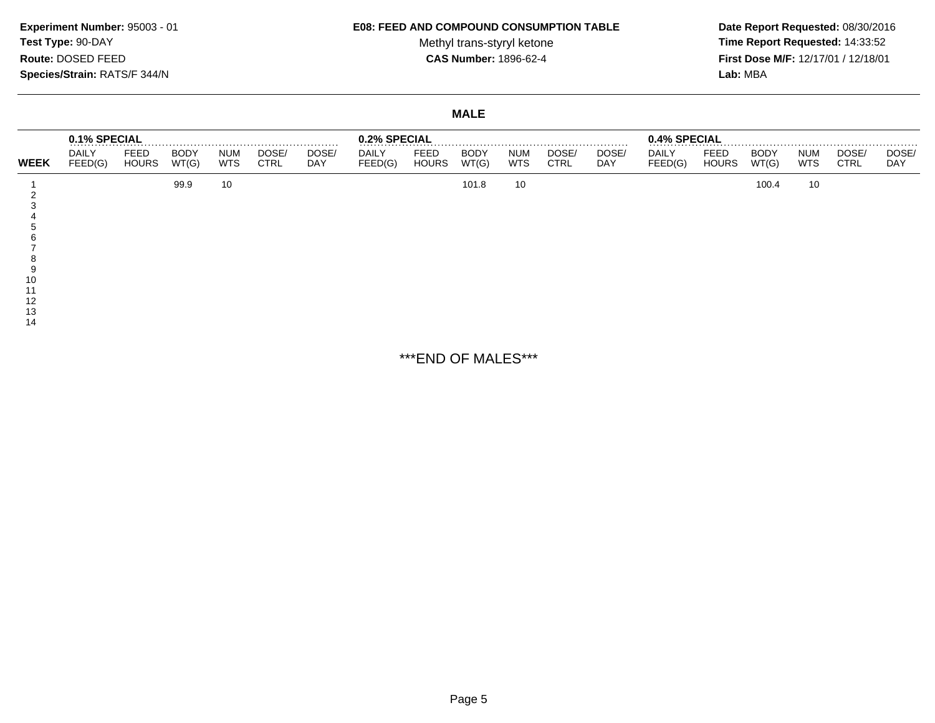#### **E08: FEED AND COMPOUND CONSUMPTION TABLE**

Methyl trans-styryl ketone<br>CAS Number: 1896-62-4

 **Date Report Requested:** 08/30/2016 **Time Report Requested:** 14:33:52 **First Dose M/F:** 12/17/01 / 12/18/01<br>Lab: MBA **Lab:** MBA

# **MALE**

|                | 0.1% SPECIAL            |                      |                      |                          |                      | .                   | 0.2% SPECIAL            |                             |                      |                          |                      | .                   | 0.4% SPECIAL            |                      |                      |                          |                      |                     |
|----------------|-------------------------|----------------------|----------------------|--------------------------|----------------------|---------------------|-------------------------|-----------------------------|----------------------|--------------------------|----------------------|---------------------|-------------------------|----------------------|----------------------|--------------------------|----------------------|---------------------|
| <b>WEEK</b>    | <b>DAILY</b><br>FEED(G) | FEED<br><b>HOURS</b> | <b>BODY</b><br>WT(G) | <b>NUM</b><br><b>WTS</b> | DOSE/<br><b>CTRL</b> | DOSE/<br><b>DAY</b> | <b>DAILY</b><br>FEED(G) | <b>FEED</b><br><b>HOURS</b> | <b>BODY</b><br>WT(G) | <b>NUM</b><br><b>WTS</b> | DOSE/<br><b>CTRL</b> | DOSE/<br><b>DAY</b> | <b>DAILY</b><br>FEED(G) | FEED<br><b>HOURS</b> | <b>BODY</b><br>WT(G) | <b>NUM</b><br><b>WTS</b> | DOSE/<br><b>CTRL</b> | DOSE/<br><b>DAY</b> |
| 12<br>13<br>14 |                         |                      | 99.9                 | 10                       |                      |                     |                         |                             | 101.8                | 10                       |                      |                     |                         |                      | 100.4                | 10                       |                      |                     |

\*\*\*END OF MALES\*\*\*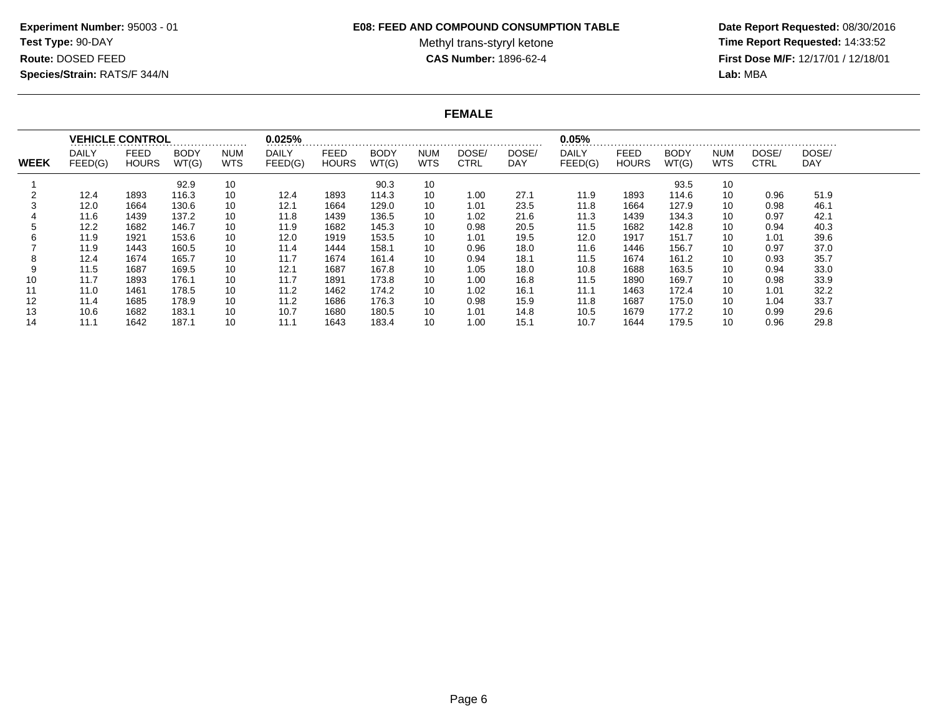#### **E08: FEED AND COMPOUND CONSUMPTION TABLE**

Methyl trans-styryl ketone<br>CAS Number: 1896-62-4

 **Date Report Requested:** 08/30/2016 **Time Report Requested:** 14:33:52 **First Dose M/F:** 12/17/01 / 12/18/01<br>Lab: MBA **Lab:** MBA

### **FEMALE**

|             |                         | <b>VEHICLE CONTROL</b>      |                      |                          | 0.025%                  |                             |                      |                    |                      |              | 0.05%                   |                      |                      |                          |                      |                     |
|-------------|-------------------------|-----------------------------|----------------------|--------------------------|-------------------------|-----------------------------|----------------------|--------------------|----------------------|--------------|-------------------------|----------------------|----------------------|--------------------------|----------------------|---------------------|
| <b>WEEK</b> | <b>DAILY</b><br>FEED(G) | <b>FEED</b><br><b>HOURS</b> | <b>BODY</b><br>WT(G) | <b>NUM</b><br><b>WTS</b> | <b>DAILY</b><br>FEED(G) | <b>FEED</b><br><b>HOURS</b> | <b>BODY</b><br>WT(G) | <b>NUM</b><br>WTS. | DOSE/<br><b>CTRL</b> | DOSE/<br>DAY | <b>DAILY</b><br>FEED(G) | FEED<br><b>HOURS</b> | <b>BODY</b><br>WT(G) | <b>NUM</b><br><b>WTS</b> | DOSE/<br><b>CTRL</b> | DOSE/<br><b>DAY</b> |
|             |                         |                             | 92.9                 | 10                       |                         |                             | 90.3                 | 10                 |                      |              |                         |                      | 93.5                 | 10                       |                      |                     |
|             | 12.4                    | 1893                        | 116.3                | 10                       | 12.4                    | 1893                        | 114.3                | 10                 | 1.00                 | 27.1         | 11.9                    | 1893                 | 114.6                | 10                       | 0.96                 | 51.9                |
|             | 12.0                    | 1664                        | 130.6                | 10                       | 12.1                    | 1664                        | 129.0                | 10                 | 1.01                 | 23.5         | 11.8                    | 1664                 | 127.9                | 10                       | 0.98                 | 46.1                |
|             | 11.6                    | 1439                        | 137.2                | 10                       | 11.8                    | 1439                        | 136.5                | 10                 | 1.02                 | 21.6         | 11.3                    | 1439                 | 134.3                | 10                       | 0.97                 | 42.1                |
|             | 12.2                    | 1682                        | 146.7                | 10                       | 11.9                    | 1682                        | 145.3                | 10                 | 0.98                 | 20.5         | 11.5                    | 1682                 | 142.8                | 10                       | 0.94                 | 40.3                |
| h           | 11.9                    | 1921                        | 153.6                | 10                       | 12.0                    | 1919                        | 153.5                | 10                 | 1.01                 | 19.5         | 12.0                    | 1917                 | 151.7                | 10                       | 1.01                 | 39.6                |
|             | 11.9                    | 1443                        | 160.5                | 10                       | 11.4                    | 1444                        | 158.1                | 10                 | 0.96                 | 18.0         | 11.6                    | 1446                 | 156.7                | 10                       | 0.97                 | 37.0                |
| 8           | 12.4                    | 1674                        | 165.7                | 10                       | 11.7                    | 1674                        | 161.4                | 10                 | 0.94                 | 18.1         | 11.5                    | 1674                 | 161.2                | 10                       | 0.93                 | 35.7                |
| 9           | 11.5                    | 1687                        | 169.5                | 10                       | 12.1                    | 1687                        | 167.8                | 10                 | 1.05                 | 18.0         | 10.8                    | 1688                 | 163.5                | 10                       | 0.94                 | 33.0                |
| 10          | 11.7                    | 1893                        | 176.1                | 10                       | 11.7                    | 1891                        | 173.8                | 10                 | 1.00                 | 16.8         | 11.5                    | 1890                 | 169.7                | 10                       | 0.98                 | 33.9                |
| 11          | 11.0                    | 1461                        | 178.5                | 10                       | 11.2                    | 1462                        | 174.2                | 10                 | 1.02                 | 16.1         | 11.1                    | 1463                 | 172.4                | 10                       | 1.01                 | 32.2                |
| 12          | 11.4                    | 1685                        | 178.9                | 10                       | 11.2                    | 1686                        | 176.3                | 10                 | 0.98                 | 15.9         | 11.8                    | 1687                 | 175.0                | 10                       | 1.04                 | 33.7                |
| 13          | 10.6                    | 1682                        | 183.1                | 10                       | 10.7                    | 1680                        | 180.5                | 10                 | 1.01                 | 14.8         | 10.5                    | 1679                 | 177.2                | 10                       | 0.99                 | 29.6                |
| 14          | 11.1                    | 1642                        | 187.1                | 10                       | 11.1                    | 1643                        | 183.4                | 10                 | 1.00                 | 15.1         | 10.7                    | 1644                 | 179.5                | 10                       | 0.96                 | 29.8                |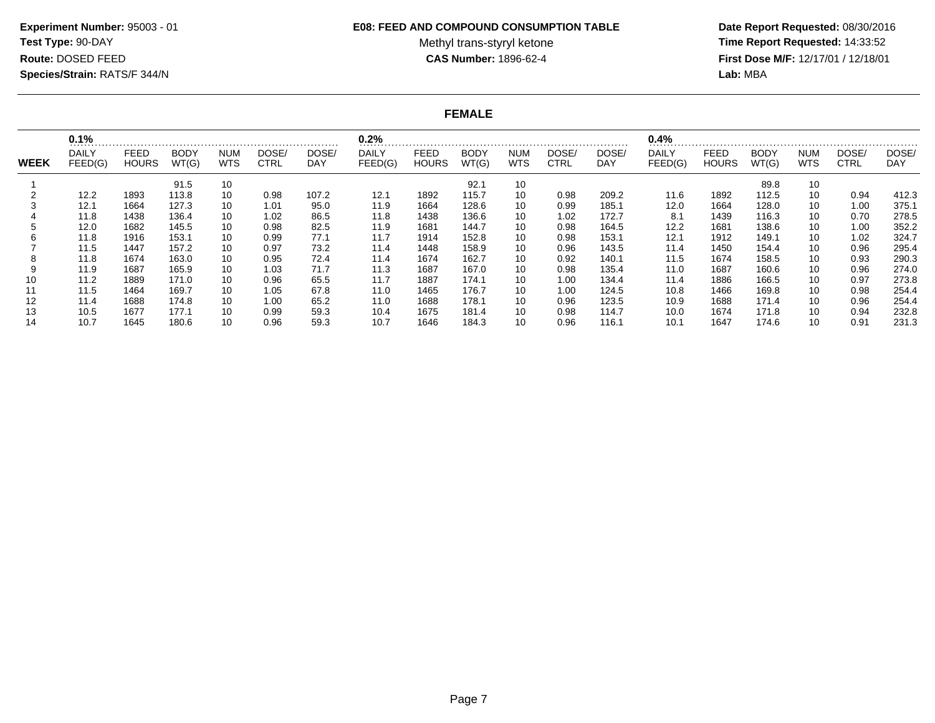#### **E08: FEED AND COMPOUND CONSUMPTION TABLE**

Methyl trans-styryl ketone<br>CAS Number: 1896-62-4

 **Date Report Requested:** 08/30/2016 **Time Report Requested:** 14:33:52 **First Dose M/F:** 12/17/01 / 12/18/01<br>Lab: MBA **Lab:** MBA

**FEMALE**

|             | 0.1%                    |                      |                      |                          |               |              | 0.2%             |                      |                      |                   |                      |              | 0.4%             |                      |                      |                   |                      |              |
|-------------|-------------------------|----------------------|----------------------|--------------------------|---------------|--------------|------------------|----------------------|----------------------|-------------------|----------------------|--------------|------------------|----------------------|----------------------|-------------------|----------------------|--------------|
| <b>WEEK</b> | <b>DAILY</b><br>FEED(G) | FEED<br><b>HOURS</b> | <b>BODY</b><br>WT(G) | <b>NUM</b><br><b>WTS</b> | DOSE/<br>CTRL | DOSE/<br>DAY | DAILY<br>FEED(G) | FEED<br><b>HOURS</b> | <b>BODY</b><br>WT(G) | NUM<br><b>WTS</b> | DOSE/<br><b>CTRL</b> | DOSE/<br>DAY | DAILY<br>FEED(G) | FEED<br><b>HOURS</b> | <b>BODY</b><br>WT(G) | NUM<br><b>WTS</b> | DOSE/<br><b>CTRL</b> | DOSE/<br>DAY |
|             |                         |                      | 91.5                 | 10                       |               |              |                  |                      | 92.1                 | 10                |                      |              |                  |                      | 89.8                 | 10                |                      |              |
|             | 12.2                    | 1893                 | 113.8                | 10                       | 0.98          | 107.2        | 12.1             | 1892                 | 115.7                | 10                | 0.98                 | 209.2        | 11.6             | 1892                 | 112.5                | 10                | 0.94                 | 412.3        |
|             | 12.1                    | 1664                 | 127.3                | 10                       | 1.01          | 95.0         | 11.9             | 1664                 | 128.6                | 10                | 0.99                 | 185.1        | 12.0             | 1664                 | 128.0                | 10                | 1.00                 | 375.1        |
|             | 11.8                    | 1438                 | 136.4                | 10                       | 1.02          | 86.5         | 11.8             | 1438                 | 136.6                | 10                | 1.02                 | 172.7        | 8.1              | 1439                 | 116.3                | 10                | 0.70                 | 278.5        |
|             | 12.0                    | 1682                 | 145.5                | 10                       | 0.98          | 82.5         | 11.9             | 1681                 | 144.7                | 10                | 0.98                 | 164.5        | 12.2             | 1681                 | 138.6                | 10                | 1.00                 | 352.2        |
|             | 11.8                    | 1916                 | 153.1                | 10                       | 0.99          | 77.1         | 11.7             | 1914                 | 152.8                | 10                | 0.98                 | 153.1        | 12.1             | 1912                 | 149.1                | 10                | 1.02                 | 324.7        |
|             | 11.5                    | 1447                 | 157.2                | 10                       | 0.97          | 73.2         | 11.4             | 1448                 | 158.9                | 10                | 0.96                 | 143.5        | 11.4             | 1450                 | 154.4                | 10                | 0.96                 | 295.4        |
|             | 11.8                    | 1674                 | 163.0                | 10                       | 0.95          | 72.4         | 11.4             | 1674                 | 162.7                | 10                | 0.92                 | 140.1        | 11.5             | 1674                 | 158.5                | 10                | 0.93                 | 290.3        |
|             | 11.9                    | 1687                 | 165.9                | 10                       | 1.03          | 71.7         | 11.3             | 1687                 | 167.0                | 10                | 0.98                 | 135.4        | 11.0             | 1687                 | 160.6                | 10                | 0.96                 | 274.0        |
|             | 11.2                    | 1889                 | 171.0                | 10                       | 0.96          | 65.5         | 11.7             | 1887                 | 174.1                | 10                | 1.00                 | 134.4        | 11.4             | 1886                 | 166.5                | 10                | 0.97                 | 273.8        |
|             | 11.5                    | 1464                 | 169.7                | 10                       | 1.05          | 67.8         | 11.0             | 1465                 | 176.7                | 10                | 1.00                 | 124.5        | 10.8             | 1466                 | 169.8                | 10                | 0.98                 | 254.4        |
| 12          | 11.4                    | 1688                 | 174.8                | 10                       | 1.00          | 65.2         | 11.0             | 1688                 | 178.1                | 10                | 0.96                 | 123.5        | 10.9             | 1688                 | 171.4                | 10                | 0.96                 | 254.4        |
|             | 10.5                    | 1677                 | 177.1                | 10                       | 0.99          | 59.3         | 10.4             | 1675                 | 181.4                | 10                | 0.98                 | 114.7        | 10.0             | 1674                 | 171.8                | 10                | 0.94                 | 232.8        |
|             | 10.7                    | 1645                 | 180.6                | 10                       | 0.96          | 59.3         | 10.7             | 1646                 | 184.3                | 10                | 0.96                 | 116.1        | 10.1             | 1647                 | 174.6                | 10                | 0.91                 | 231.3        |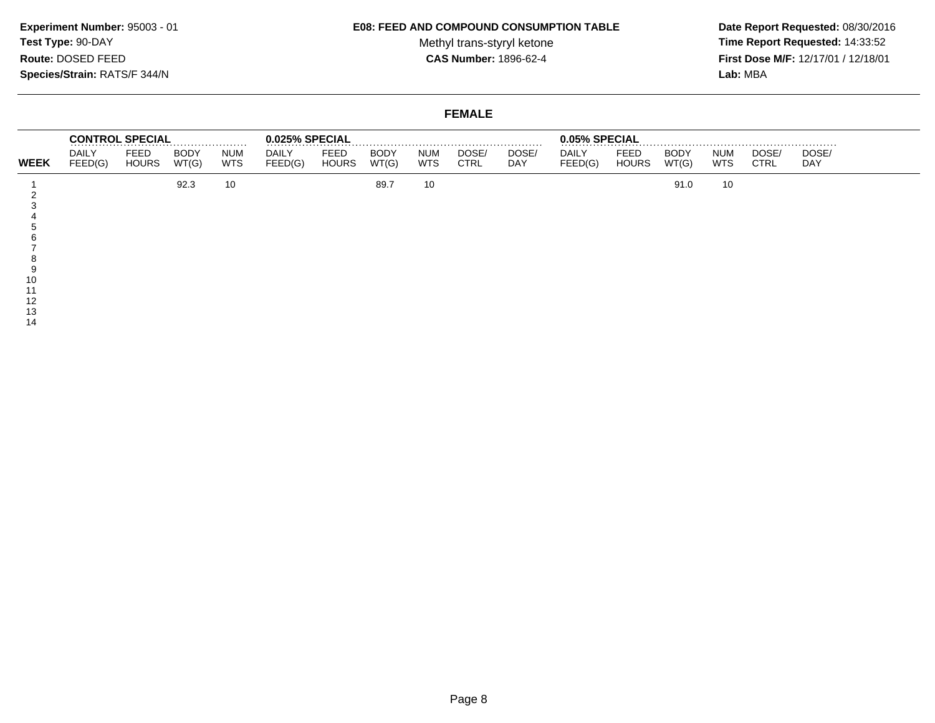#### **E08: FEED AND COMPOUND CONSUMPTION TABLE**

Methyl trans-styryl ketone<br>CAS Number: 1896-62-4

 **Date Report Requested:** 08/30/2016 **Time Report Requested:** 14:33:52 **First Dose M/F:** 12/17/01 / 12/18/01<br>Lab: MBA **Lab:** MBA

### **FEMALE**

|             |                         | <b>CONTROL SPECIAL</b> |                      |                          | 0.025% SPECIAL   |                      |                      |                          |                      |              | 0.05% SPECIAL    |                             |                      |                   |                      |                     |  |
|-------------|-------------------------|------------------------|----------------------|--------------------------|------------------|----------------------|----------------------|--------------------------|----------------------|--------------|------------------|-----------------------------|----------------------|-------------------|----------------------|---------------------|--|
| <b>WEEK</b> | <b>DAILY</b><br>FEED(G) | FEED<br><b>HOURS</b>   | <b>BODY</b><br>WT(G) | <b>NUM</b><br><b>WTS</b> | DAILY<br>FEED(G) | FEED<br><b>HOURS</b> | <b>BODY</b><br>WT(G) | <b>NUM</b><br><b>WTS</b> | DOSE/<br><b>CTRL</b> | DOSE/<br>DAY | DAILY<br>FEED(G) | <b>FEED</b><br><b>HOURS</b> | <b>BODY</b><br>WT(G) | NUM<br><b>WTS</b> | DOSE/<br><b>CTRL</b> | DOSE/<br><b>DAY</b> |  |
|             |                         |                        | 92.3                 | 10                       |                  |                      | 89.7                 | 10                       |                      |              |                  |                             | 91.0                 | 10                |                      |                     |  |
|             |                         |                        |                      |                          |                  |                      |                      |                          |                      |              |                  |                             |                      |                   |                      |                     |  |
|             |                         |                        |                      |                          |                  |                      |                      |                          |                      |              |                  |                             |                      |                   |                      |                     |  |
|             |                         |                        |                      |                          |                  |                      |                      |                          |                      |              |                  |                             |                      |                   |                      |                     |  |
|             |                         |                        |                      |                          |                  |                      |                      |                          |                      |              |                  |                             |                      |                   |                      |                     |  |
|             |                         |                        |                      |                          |                  |                      |                      |                          |                      |              |                  |                             |                      |                   |                      |                     |  |
|             |                         |                        |                      |                          |                  |                      |                      |                          |                      |              |                  |                             |                      |                   |                      |                     |  |
|             |                         |                        |                      |                          |                  |                      |                      |                          |                      |              |                  |                             |                      |                   |                      |                     |  |
|             |                         |                        |                      |                          |                  |                      |                      |                          |                      |              |                  |                             |                      |                   |                      |                     |  |
| 10          |                         |                        |                      |                          |                  |                      |                      |                          |                      |              |                  |                             |                      |                   |                      |                     |  |
|             |                         |                        |                      |                          |                  |                      |                      |                          |                      |              |                  |                             |                      |                   |                      |                     |  |
| 12          |                         |                        |                      |                          |                  |                      |                      |                          |                      |              |                  |                             |                      |                   |                      |                     |  |
| 10          |                         |                        |                      |                          |                  |                      |                      |                          |                      |              |                  |                             |                      |                   |                      |                     |  |

13 14